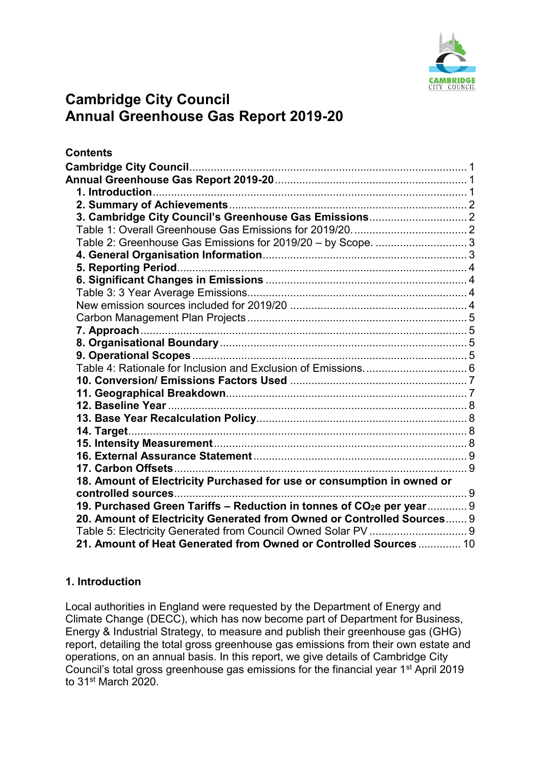

# <span id="page-0-1"></span><span id="page-0-0"></span>**Cambridge City Council Annual Greenhouse Gas Report 2019-20**

| <b>Contents</b>                                                                   |  |
|-----------------------------------------------------------------------------------|--|
|                                                                                   |  |
|                                                                                   |  |
|                                                                                   |  |
|                                                                                   |  |
|                                                                                   |  |
|                                                                                   |  |
| Table 2: Greenhouse Gas Emissions for 2019/20 - by Scope.  3                      |  |
|                                                                                   |  |
|                                                                                   |  |
|                                                                                   |  |
|                                                                                   |  |
|                                                                                   |  |
|                                                                                   |  |
|                                                                                   |  |
|                                                                                   |  |
|                                                                                   |  |
|                                                                                   |  |
|                                                                                   |  |
|                                                                                   |  |
|                                                                                   |  |
|                                                                                   |  |
|                                                                                   |  |
|                                                                                   |  |
|                                                                                   |  |
|                                                                                   |  |
| 18. Amount of Electricity Purchased for use or consumption in owned or            |  |
|                                                                                   |  |
| 19. Purchased Green Tariffs - Reduction in tonnes of CO <sub>2</sub> e per year 9 |  |
| 20. Amount of Electricity Generated from Owned or Controlled Sources 9            |  |
| Table 5: Electricity Generated from Council Owned Solar PV  9                     |  |
| 21. Amount of Heat Generated from Owned or Controlled Sources  10                 |  |

# <span id="page-0-2"></span>**1. Introduction**

Local authorities in England were requested by the Department of Energy and Climate Change (DECC), which has now become part of Department for Business, Energy & Industrial Strategy, to measure and publish their greenhouse gas (GHG) report, detailing the total gross greenhouse gas emissions from their own estate and operations, on an annual basis. In this report, we give details of Cambridge City Council's total gross greenhouse gas emissions for the financial year 1st April 2019 to 31st March 2020.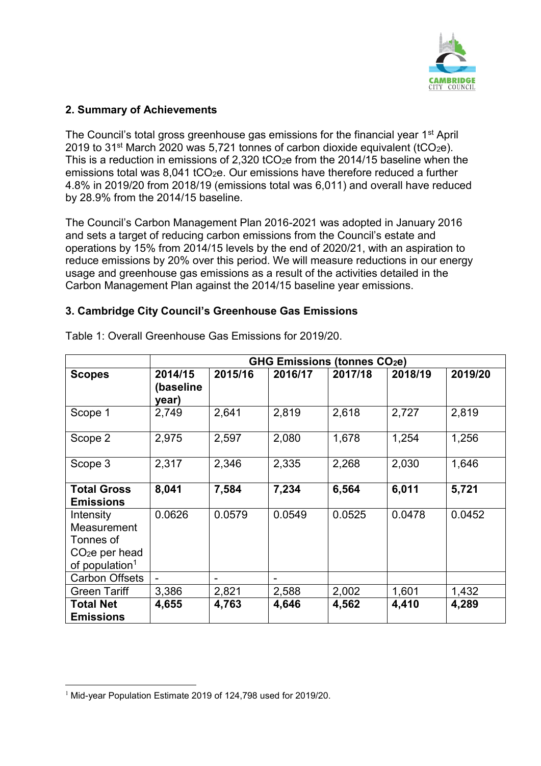

# <span id="page-1-0"></span>**2. Summary of Achievements**

The Council's total gross greenhouse gas emissions for the financial year 1<sup>st</sup> April 2019 to 31<sup>st</sup> March 2020 was 5,721 tonnes of carbon dioxide equivalent (tCO<sub>2</sub>e). This is a reduction in emissions of 2.320 tCO<sub>2</sub>e from the 2014/15 baseline when the emissions total was  $8,041$  tCO<sub>2</sub>e. Our emissions have therefore reduced a further 4.8% in 2019/20 from 2018/19 (emissions total was 6,011) and overall have reduced by 28.9% from the 2014/15 baseline.

The Council's Carbon Management Plan 2016-2021 was adopted in January 2016 and sets a target of reducing carbon emissions from the Council's estate and operations by 15% from 2014/15 levels by the end of 2020/21, with an aspiration to reduce emissions by 20% over this period. We will measure reductions in our energy usage and greenhouse gas emissions as a result of the activities detailed in the Carbon Management Plan against the 2014/15 baseline year emissions.

## <span id="page-1-1"></span>**3. Cambridge City Council's Greenhouse Gas Emissions**

|                                                                                        | <b>GHG Emissions (tonnes CO2e)</b> |         |         |         |         |         |
|----------------------------------------------------------------------------------------|------------------------------------|---------|---------|---------|---------|---------|
| <b>Scopes</b>                                                                          | 2014/15<br>(baseline<br>year)      | 2015/16 | 2016/17 | 2017/18 | 2018/19 | 2019/20 |
| Scope 1                                                                                | 2,749                              | 2,641   | 2,819   | 2,618   | 2,727   | 2,819   |
| Scope 2                                                                                | 2,975                              | 2,597   | 2,080   | 1,678   | 1,254   | 1,256   |
| Scope 3                                                                                | 2,317                              | 2,346   | 2,335   | 2,268   | 2,030   | 1,646   |
| <b>Total Gross</b><br><b>Emissions</b>                                                 | 8,041                              | 7,584   | 7,234   | 6,564   | 6,011   | 5,721   |
| Intensity<br>Measurement<br>Tonnes of<br>$CO2e$ per head<br>of population <sup>1</sup> | 0.0626                             | 0.0579  | 0.0549  | 0.0525  | 0.0478  | 0.0452  |
| <b>Carbon Offsets</b>                                                                  |                                    | -       |         |         |         |         |
| <b>Green Tariff</b>                                                                    | 3,386                              | 2,821   | 2,588   | 2,002   | 1,601   | 1,432   |
| <b>Total Net</b><br><b>Emissions</b>                                                   | 4,655                              | 4,763   | 4,646   | 4,562   | 4,410   | 4,289   |

<span id="page-1-2"></span>Table 1: Overall Greenhouse Gas Emissions for 2019/20.

<sup>1</sup> <sup>1</sup> Mid-year Population Estimate 2019 of 124,798 used for 2019/20.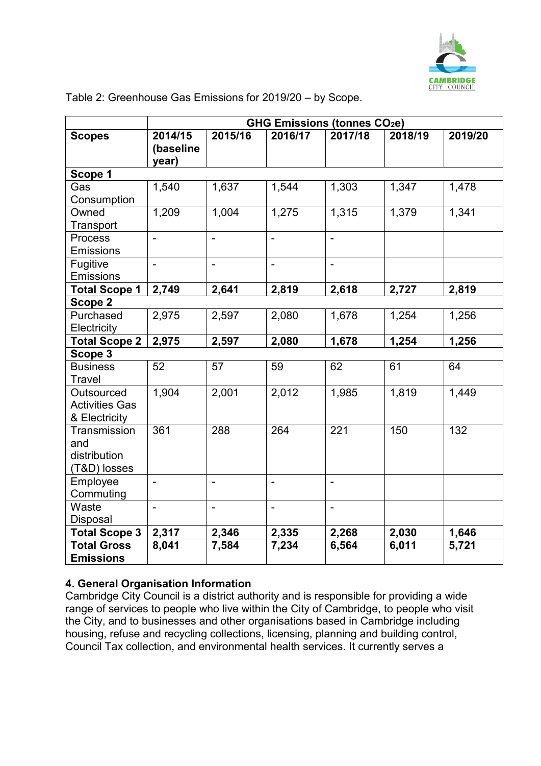

|                                                      | <b>GHG Emissions (tonnes CO2e)</b> |                |                |                          |         |         |
|------------------------------------------------------|------------------------------------|----------------|----------------|--------------------------|---------|---------|
| <b>Scopes</b>                                        | 2014/15<br>(baseline<br>year)      | 2015/16        | 2016/17        | 2017/18                  | 2018/19 | 2019/20 |
| Scope 1                                              |                                    |                |                |                          |         |         |
| Gas<br>Consumption                                   | 1,540                              | 1,637          | 1,544          | 1,303                    | 1,347   | 1,478   |
| Owned<br>Transport                                   | 1,209                              | 1,004          | 1,275          | 1,315                    | 1,379   | 1,341   |
| Process<br>Emissions                                 | $\blacksquare$                     | $\blacksquare$ | $\blacksquare$ | $\blacksquare$           |         |         |
| Fugitive<br>Emissions                                | $\overline{a}$                     | $\overline{a}$ | $\blacksquare$ | $\overline{\phantom{0}}$ |         |         |
| <b>Total Scope 1</b>                                 | 2,749                              | 2,641          | 2,819          | 2,618                    | 2,727   | 2,819   |
| Scope 2                                              |                                    |                |                |                          |         |         |
| Purchased<br>Electricity                             | 2,975                              | 2,597          | 2,080          | 1,678                    | 1,254   | 1,256   |
| <b>Total Scope 2</b>                                 | 2,975                              | 2,597          | 2,080          | 1,678                    | 1,254   | 1,256   |
| Scope 3                                              |                                    |                |                |                          |         |         |
| <b>Business</b><br><b>Travel</b>                     | 52                                 | 57             | 59             | 62                       | 61      | 64      |
| Outsourced<br><b>Activities Gas</b><br>& Electricity | 1,904                              | 2,001          | 2,012          | 1,985                    | 1,819   | 1,449   |
| Transmission<br>and<br>distribution<br>(T&D) losses  | 361                                | 288            | 264            | 221                      | 150     | 132     |
| Employee<br>Commuting                                | $\blacksquare$                     | $\blacksquare$ | $\blacksquare$ | $\blacksquare$           |         |         |
| Waste<br><b>Disposal</b>                             | $\blacksquare$                     | $\blacksquare$ | $\blacksquare$ | $\blacksquare$           |         |         |
| <b>Total Scope 3</b>                                 | 2,317                              | 2,346          | 2,335          | 2,268                    | 2,030   | 1,646   |
| <b>Total Gross</b><br><b>Emissions</b>               | 8,041                              | 7,584          | 7,234          | 6,564                    | 6,011   | 5,721   |

<span id="page-2-0"></span>Table 2: Greenhouse Gas Emissions for 2019/20 – by Scope.

# <span id="page-2-1"></span>**4. General Organisation Information**

Cambridge City Council is a district authority and is responsible for providing a wide range of services to people who live within the City of Cambridge, to people who visit the City, and to businesses and other organisations based in Cambridge including housing, refuse and recycling collections, licensing, planning and building control, Council Tax collection, and environmental health services. It currently serves a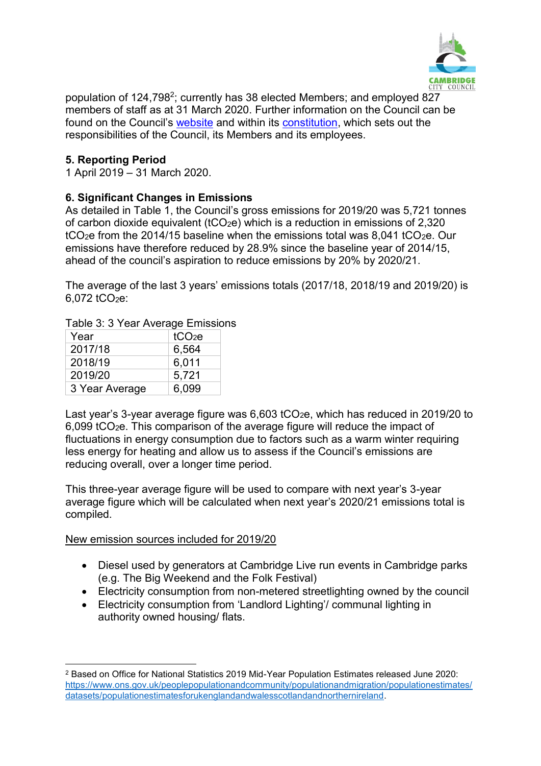

population of 124,798<sup>2</sup>; currently has 38 elected Members; and employed 827 members of staff as at 31 March 2020. Further information on the Council can be found on the Council's [website](http://www.cambridge.gov.uk/) and within its [constitution,](https://www.cambridge.gov.uk/constitution) which sets out the responsibilities of the Council, its Members and its employees.

## <span id="page-3-0"></span>**5. Reporting Period**

1 April 2019 – 31 March 2020.

## <span id="page-3-1"></span>**6. Significant Changes in Emissions**

As detailed in Table 1, the Council's gross emissions for 2019/20 was 5,721 tonnes of carbon dioxide equivalent (tCO2e) which is a reduction in emissions of 2,320 tCO<sub>2</sub>e from the 2014/15 baseline when the emissions total was 8,041 tCO<sub>2</sub>e. Our emissions have therefore reduced by 28.9% since the baseline year of 2014/15, ahead of the council's aspiration to reduce emissions by 20% by 2020/21.

The average of the last 3 years' emissions totals (2017/18, 2018/19 and 2019/20) is  $6.072$  tCO<sub>2</sub>e:

#### <span id="page-3-2"></span>Table 3: 3 Year Average Emissions

| Year           | tCO <sub>2</sub> e |
|----------------|--------------------|
| 2017/18        | 6,564              |
| 2018/19        | 6,011              |
| 2019/20        | 5,721              |
| 3 Year Average | 6,099              |

Last year's 3-year average figure was 6,603 tCO<sub>2</sub>e, which has reduced in 2019/20 to 6,099 tCO2e. This comparison of the average figure will reduce the impact of fluctuations in energy consumption due to factors such as a warm winter requiring less energy for heating and allow us to assess if the Council's emissions are reducing overall, over a longer time period.

This three-year average figure will be used to compare with next year's 3-year average figure which will be calculated when next year's 2020/21 emissions total is compiled.

#### <span id="page-3-3"></span>New emission sources included for 2019/20

1

- Diesel used by generators at Cambridge Live run events in Cambridge parks (e.g. The Big Weekend and the Folk Festival)
- Electricity consumption from non-metered streetlighting owned by the council
- Electricity consumption from 'Landlord Lighting'/ communal lighting in authority owned housing/ flats.

<sup>2</sup> Based on Office for National Statistics 2019 Mid-Year Population Estimates released June 2020: [https://www.ons.gov.uk/peoplepopulationandcommunity/populationandmigration/populationestimates/](https://www.ons.gov.uk/peoplepopulationandcommunity/populationandmigration/populationestimates/datasets/populationestimatesforukenglandandwalesscotlandandnorthernireland) [datasets/populationestimatesforukenglandandwalesscotlandandnorthernireland.](https://www.ons.gov.uk/peoplepopulationandcommunity/populationandmigration/populationestimates/datasets/populationestimatesforukenglandandwalesscotlandandnorthernireland)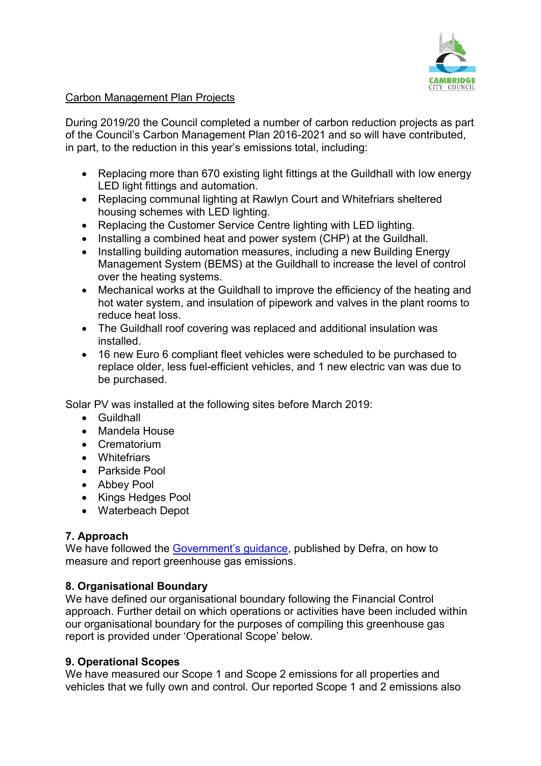

### <span id="page-4-0"></span>Carbon Management Plan Projects

During 2019/20 the Council completed a number of carbon reduction projects as part of the Council's Carbon Management Plan 2016-2021 and so will have contributed, in part, to the reduction in this year's emissions total, including:

- Replacing more than 670 existing light fittings at the Guildhall with low energy LED light fittings and automation.
- Replacing communal lighting at Rawlyn Court and Whitefriars sheltered housing schemes with LED lighting.
- Replacing the Customer Service Centre lighting with LED lighting.
- Installing a combined heat and power system (CHP) at the Guildhall.
- Installing building automation measures, including a new Building Energy Management System (BEMS) at the Guildhall to increase the level of control over the heating systems.
- Mechanical works at the Guildhall to improve the efficiency of the heating and hot water system, and insulation of pipework and valves in the plant rooms to reduce heat loss.
- The Guildhall roof covering was replaced and additional insulation was installed.
- 16 new Euro 6 compliant fleet vehicles were scheduled to be purchased to replace older, less fuel-efficient vehicles, and 1 new electric van was due to be purchased.

Solar PV was installed at the following sites before March 2019:

- Guildhall
- Mandela House
- Crematorium
- Whitefriars
- Parkside Pool
- Abbey Pool
- Kings Hedges Pool
- Waterbeach Depot

# <span id="page-4-1"></span>**7. Approach**

We have followed the [Government's guidance](https://www.gov.uk/measuring-and-reporting-environmental-impacts-guidance-for-businesses), published by Defra, on how to measure and report greenhouse gas emissions.

#### <span id="page-4-2"></span>**8. Organisational Boundary**

We have defined our organisational boundary following the Financial Control approach. Further detail on which operations or activities have been included within our organisational boundary for the purposes of compiling this greenhouse gas report is provided under 'Operational Scope' below.

#### <span id="page-4-3"></span>**9. Operational Scopes**

We have measured our Scope 1 and Scope 2 emissions for all properties and vehicles that we fully own and control. Our reported Scope 1 and 2 emissions also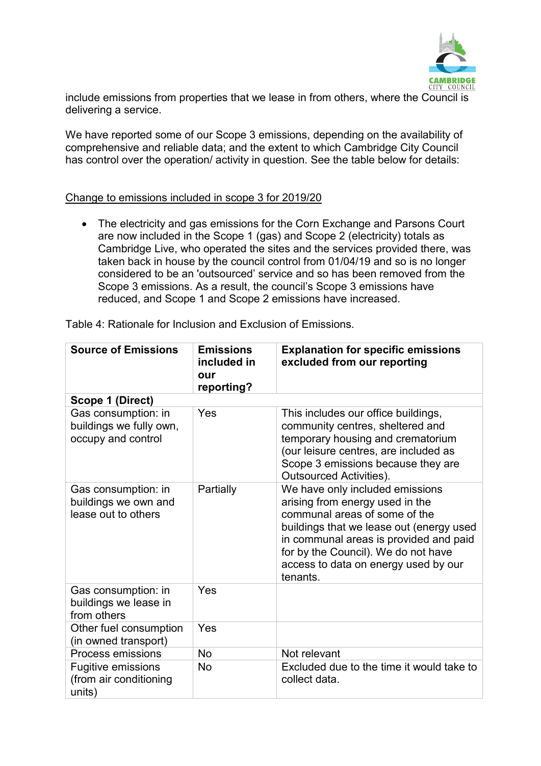

include emissions from properties that we lease in from others, where the Council is delivering a service.

We have reported some of our Scope 3 emissions, depending on the availability of comprehensive and reliable data; and the extent to which Cambridge City Council has control over the operation/ activity in question. See the table below for details:

#### Change to emissions included in scope 3 for 2019/20

• The electricity and gas emissions for the Corn Exchange and Parsons Court are now included in the Scope 1 (gas) and Scope 2 (electricity) totals as Cambridge Live, who operated the sites and the services provided there, was taken back in house by the council control from 01/04/19 and so is no longer considered to be an 'outsourced' service and so has been removed from the Scope 3 emissions. As a result, the council's Scope 3 emissions have reduced, and Scope 1 and Scope 2 emissions have increased.

| <b>Source of Emissions</b>                                           | <b>Emissions</b><br>included in<br>our<br>reporting? | <b>Explanation for specific emissions</b><br>excluded from our reporting                                                                                                                                                                                                             |
|----------------------------------------------------------------------|------------------------------------------------------|--------------------------------------------------------------------------------------------------------------------------------------------------------------------------------------------------------------------------------------------------------------------------------------|
| Scope 1 (Direct)                                                     |                                                      |                                                                                                                                                                                                                                                                                      |
| Gas consumption: in<br>buildings we fully own,<br>occupy and control | Yes                                                  | This includes our office buildings,<br>community centres, sheltered and<br>temporary housing and crematorium<br>(our leisure centres, are included as<br>Scope 3 emissions because they are<br><b>Outsourced Activities).</b>                                                        |
| Gas consumption: in<br>buildings we own and<br>lease out to others   | Partially                                            | We have only included emissions<br>arising from energy used in the<br>communal areas of some of the<br>buildings that we lease out (energy used<br>in communal areas is provided and paid<br>for by the Council). We do not have<br>access to data on energy used by our<br>tenants. |
| Gas consumption: in<br>buildings we lease in<br>from others          | Yes                                                  |                                                                                                                                                                                                                                                                                      |
| Other fuel consumption<br>(in owned transport)                       | Yes                                                  |                                                                                                                                                                                                                                                                                      |
| Process emissions                                                    | <b>No</b>                                            | Not relevant                                                                                                                                                                                                                                                                         |
| <b>Fugitive emissions</b><br>(from air conditioning<br>units)        | <b>No</b>                                            | Excluded due to the time it would take to<br>collect data.                                                                                                                                                                                                                           |

<span id="page-5-0"></span>Table 4: Rationale for Inclusion and Exclusion of Emissions.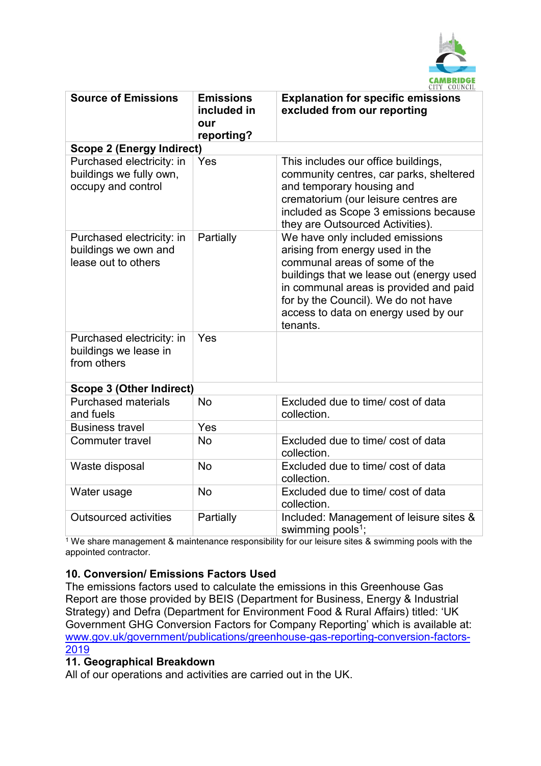

| <b>Source of Emissions</b>                                                 | <b>Emissions</b><br>included in<br>our<br>reporting? | <b>Explanation for specific emissions</b><br>excluded from our reporting                                                                                                                                                                                                             |
|----------------------------------------------------------------------------|------------------------------------------------------|--------------------------------------------------------------------------------------------------------------------------------------------------------------------------------------------------------------------------------------------------------------------------------------|
| <b>Scope 2 (Energy Indirect)</b>                                           |                                                      |                                                                                                                                                                                                                                                                                      |
| Purchased electricity: in<br>buildings we fully own,<br>occupy and control | Yes                                                  | This includes our office buildings,<br>community centres, car parks, sheltered<br>and temporary housing and<br>crematorium (our leisure centres are<br>included as Scope 3 emissions because<br>they are Outsourced Activities).                                                     |
| Purchased electricity: in<br>buildings we own and<br>lease out to others   | Partially                                            | We have only included emissions<br>arising from energy used in the<br>communal areas of some of the<br>buildings that we lease out (energy used<br>in communal areas is provided and paid<br>for by the Council). We do not have<br>access to data on energy used by our<br>tenants. |
| Purchased electricity: in<br>buildings we lease in<br>from others          | Yes                                                  |                                                                                                                                                                                                                                                                                      |
| <b>Scope 3 (Other Indirect)</b>                                            |                                                      |                                                                                                                                                                                                                                                                                      |
| <b>Purchased materials</b><br>and fuels                                    | <b>No</b>                                            | Excluded due to time/ cost of data<br>collection.                                                                                                                                                                                                                                    |
| <b>Business travel</b>                                                     | Yes                                                  |                                                                                                                                                                                                                                                                                      |
| <b>Commuter travel</b>                                                     | <b>No</b>                                            | Excluded due to time/ cost of data<br>collection.                                                                                                                                                                                                                                    |
| Waste disposal                                                             | <b>No</b>                                            | Excluded due to time/ cost of data<br>collection.                                                                                                                                                                                                                                    |
| Water usage                                                                | <b>No</b>                                            | Excluded due to time/ cost of data<br>collection.                                                                                                                                                                                                                                    |
| <b>Outsourced activities</b>                                               | Partially                                            | Included: Management of leisure sites &<br>swimming pools <sup>1</sup> ;                                                                                                                                                                                                             |

 $1$  We share management & maintenance responsibility for our leisure sites & swimming pools with the appointed contractor.

# <span id="page-6-0"></span>**10. Conversion/ Emissions Factors Used**

The emissions factors used to calculate the emissions in this Greenhouse Gas Report are those provided by BEIS (Department for Business, Energy & Industrial Strategy) and Defra (Department for Environment Food & Rural Affairs) titled: 'UK Government GHG Conversion Factors for Company Reporting' which is available at: [www.gov.uk/government/publications/greenhouse-gas-reporting-conversion-factors-](http://www.gov.uk/government/publications/greenhouse-gas-reporting-conversion-factors-2019)[2019](http://www.gov.uk/government/publications/greenhouse-gas-reporting-conversion-factors-2019)

#### <span id="page-6-1"></span>**11. Geographical Breakdown**

All of our operations and activities are carried out in the UK.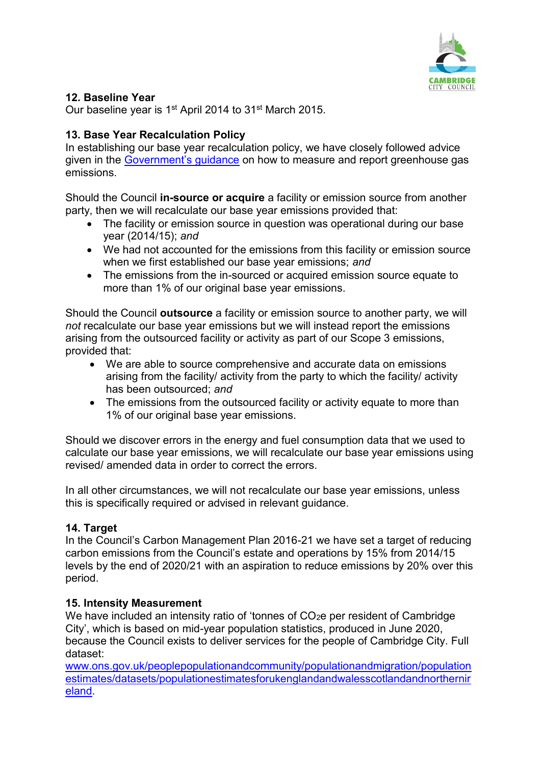

# <span id="page-7-0"></span>**12. Baseline Year**

Our baseline year is 1<sup>st</sup> April 2014 to 31<sup>st</sup> March 2015.

# <span id="page-7-1"></span>**13. Base Year Recalculation Policy**

In establishing our base year recalculation policy, we have closely followed advice given in the [Government's guidance](https://www.gov.uk/government/uploads/system/uploads/attachment_data/file/206392/pb13944-env-reporting-guidance.pdf) on how to measure and report greenhouse gas emissions.

Should the Council **in-source or acquire** a facility or emission source from another party, then we will recalculate our base year emissions provided that:

- The facility or emission source in question was operational during our base year (2014/15); *and*
- We had not accounted for the emissions from this facility or emission source when we first established our base year emissions; *and*
- The emissions from the in-sourced or acquired emission source equate to more than 1% of our original base year emissions.

Should the Council **outsource** a facility or emission source to another party, we will *not* recalculate our base year emissions but we will instead report the emissions arising from the outsourced facility or activity as part of our Scope 3 emissions, provided that:

- We are able to source comprehensive and accurate data on emissions arising from the facility/ activity from the party to which the facility/ activity has been outsourced; *and*
- The emissions from the outsourced facility or activity equate to more than 1% of our original base year emissions.

Should we discover errors in the energy and fuel consumption data that we used to calculate our base year emissions, we will recalculate our base year emissions using revised/ amended data in order to correct the errors.

In all other circumstances, we will not recalculate our base year emissions, unless this is specifically required or advised in relevant guidance.

# <span id="page-7-2"></span>**14. Target**

In the Council's Carbon Management Plan 2016-21 we have set a target of reducing carbon emissions from the Council's estate and operations by 15% from 2014/15 levels by the end of 2020/21 with an aspiration to reduce emissions by 20% over this period.

# <span id="page-7-3"></span>**15. Intensity Measurement**

We have included an intensity ratio of 'tonnes of CO<sub>2</sub>e per resident of Cambridge City', which is based on mid-year population statistics, produced in June 2020, because the Council exists to deliver services for the people of Cambridge City. Full dataset:

[www.ons.gov.uk/peoplepopulationandcommunity/populationandmigration/population](http://www.ons.gov.uk/peoplepopulationandcommunity/populationandmigration/populationestimates/datasets/populationestimatesforukenglandandwalesscotlandandnorthernireland) [estimates/datasets/populationestimatesforukenglandandwalesscotlandandnorthernir](http://www.ons.gov.uk/peoplepopulationandcommunity/populationandmigration/populationestimates/datasets/populationestimatesforukenglandandwalesscotlandandnorthernireland) [eland.](http://www.ons.gov.uk/peoplepopulationandcommunity/populationandmigration/populationestimates/datasets/populationestimatesforukenglandandwalesscotlandandnorthernireland)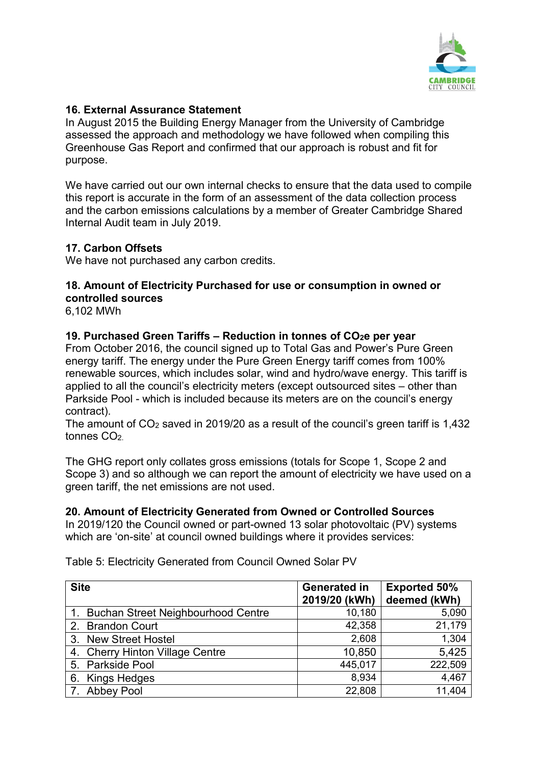

## <span id="page-8-0"></span>**16. External Assurance Statement**

In August 2015 the Building Energy Manager from the University of Cambridge assessed the approach and methodology we have followed when compiling this Greenhouse Gas Report and confirmed that our approach is robust and fit for purpose.

We have carried out our own internal checks to ensure that the data used to compile this report is accurate in the form of an assessment of the data collection process and the carbon emissions calculations by a member of Greater Cambridge Shared Internal Audit team in July 2019.

## <span id="page-8-1"></span>**17. Carbon Offsets**

We have not purchased any carbon credits.

## <span id="page-8-2"></span>**18. Amount of Electricity Purchased for use or consumption in owned or controlled sources**

6,102 MWh

#### <span id="page-8-3"></span>**19. Purchased Green Tariffs – Reduction in tonnes of CO2e per year**

From October 2016, the council signed up to Total Gas and Power's Pure Green energy tariff. The energy under the Pure Green Energy tariff comes from 100% renewable sources, which includes solar, wind and hydro/wave energy. This tariff is applied to all the council's electricity meters (except outsourced sites – other than Parkside Pool - which is included because its meters are on the council's energy contract).

The amount of CO<sup>2</sup> saved in 2019/20 as a result of the council's green tariff is 1,432 tonnes CO<sub>2</sub>

The GHG report only collates gross emissions (totals for Scope 1, Scope 2 and Scope 3) and so although we can report the amount of electricity we have used on a green tariff, the net emissions are not used.

#### <span id="page-8-4"></span>**20. Amount of Electricity Generated from Owned or Controlled Sources**

In 2019/120 the Council owned or part-owned 13 solar photovoltaic (PV) systems which are 'on-site' at council owned buildings where it provides services:

| <b>Site</b>                           | <b>Generated in</b><br>2019/20 (kWh) | <b>Exported 50%</b><br>deemed (kWh) |
|---------------------------------------|--------------------------------------|-------------------------------------|
| 1. Buchan Street Neighbourhood Centre | 10,180                               | 5,090                               |
| 2. Brandon Court                      | 42,358                               | 21,179                              |
| 3. New Street Hostel                  | 2,608                                | 1,304                               |
| 4. Cherry Hinton Village Centre       | 10,850                               | 5,425                               |
| 5. Parkside Pool                      | 445,017                              | 222,509                             |
| 6. Kings Hedges                       | 8,934                                | 4,467                               |
| 7. Abbey Pool                         | 22,808                               | 11,404                              |

<span id="page-8-5"></span>Table 5: Electricity Generated from Council Owned Solar PV